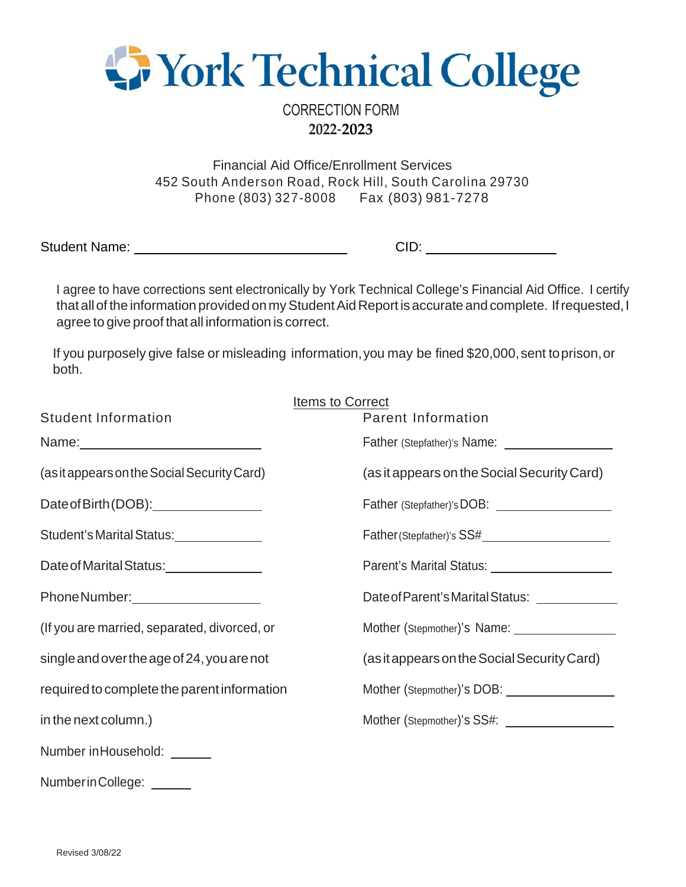

CORRECTION FORM **2022**-**2023**

Financial Aid Office/Enrollment Services 452 South Anderson Road, Rock Hill, South Carolina 29730 Phone (803) 327-8008 Fax (803) 981-7278

Student Name: <u>Cambridge Communications</u> CID:

I agree to have corrections sent electronically by York Technical College's Financial Aid Office. I certify that all of the information provided on my Student Aid Report is accurate and complete. If requested, I agree to give proof that all information is correct.

If you purposely give false or misleading information, you may be fined \$20,000, sent toprison, or both.

|                                                                                                                | <b>Items to Correct</b>                                                                                                                                                                                                        |
|----------------------------------------------------------------------------------------------------------------|--------------------------------------------------------------------------------------------------------------------------------------------------------------------------------------------------------------------------------|
| <b>Student Information</b>                                                                                     | <b>Parent Information</b>                                                                                                                                                                                                      |
|                                                                                                                | Father (Stepfather)'s Name:                                                                                                                                                                                                    |
| (as it appears on the Social Security Card)                                                                    | (as it appears on the Social Security Card)                                                                                                                                                                                    |
|                                                                                                                | Father (Stepfather)'s DOB: \\contact \\contact \\contact \\contact \\contact \\contact \\contact \\contact \\contact \\contact \\contact \\contact \\contact \\contact \\contact \\contact \\contact \\contact \\contact \\con |
| Student's Marital Status:                                                                                      |                                                                                                                                                                                                                                |
| Date of Marital Status: University of Marital Status:                                                          | Parent's Marital Status: 2008 2014                                                                                                                                                                                             |
| Phone Number: Name of Allen Contracts and Allen Contracts and Allen Contracts and Allen Contracts and Allen Co | Date of Parent's Marital Status: Letteration by a state of Parent's Marital Status:                                                                                                                                            |
| (If you are married, separated, divorced, or                                                                   |                                                                                                                                                                                                                                |
| single and over the age of 24, you are not                                                                     | (as it appears on the Social Security Card)                                                                                                                                                                                    |
| required to complete the parent information                                                                    |                                                                                                                                                                                                                                |
| in the next column.)                                                                                           | Mother (Stepmother)'s SS#:                                                                                                                                                                                                     |
| Number in Household: <u>Number</u>                                                                             |                                                                                                                                                                                                                                |
| Number in College: ______                                                                                      |                                                                                                                                                                                                                                |